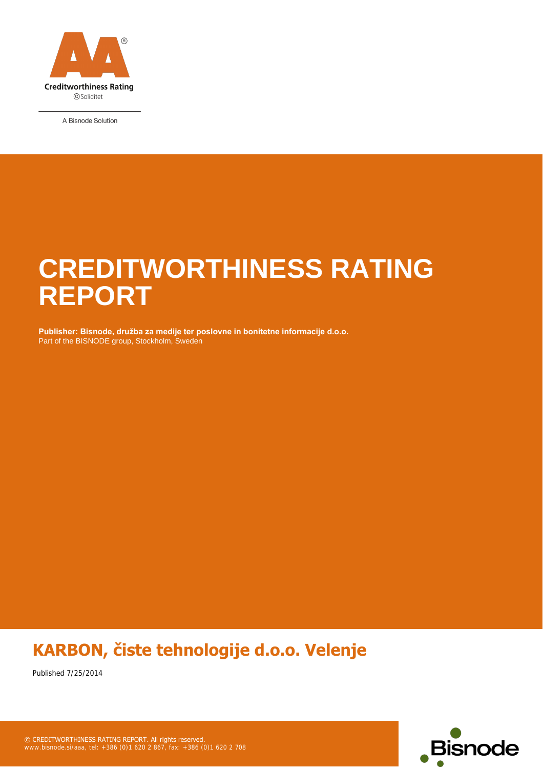

A Bisnode Solution

### **CREDITWORTHINESS RATING REPORT**

Part of the BISNODE group, Stockholm, Sweden **Publisher: Bisnode, družba za medije ter poslovne in bonitetne informacije d.o.o.**

### **KARBON, čiste tehnologije d.o.o. Velenje**

Published 7/25/2014

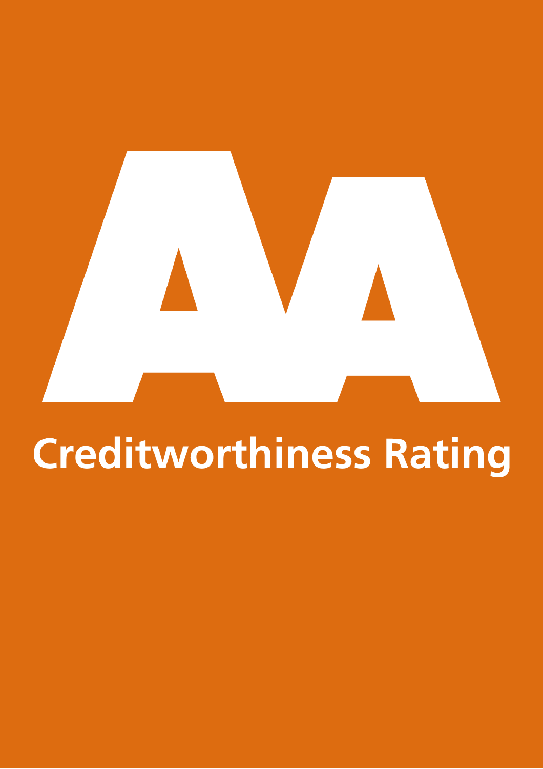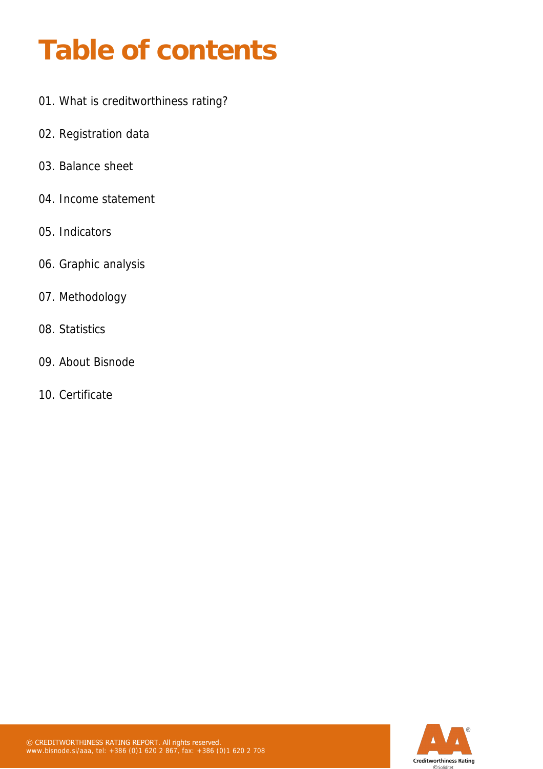### **Table of contents**

- 01. What is creditworthiness rating?
- 02. Registration data
- 03. Balance sheet
- 04. Income statement
- 05. Indicators
- 06. Graphic analysis
- 07. Methodology
- 08. Statistics
- 09. About Bisnode
- 10. Certificate

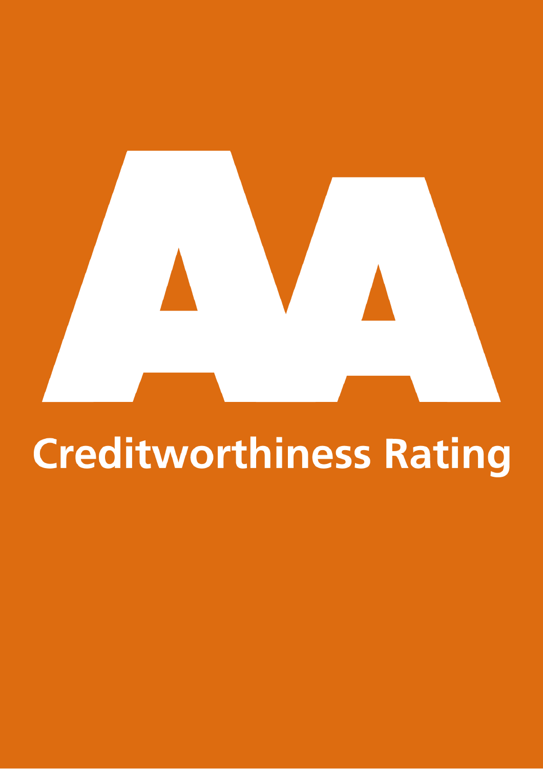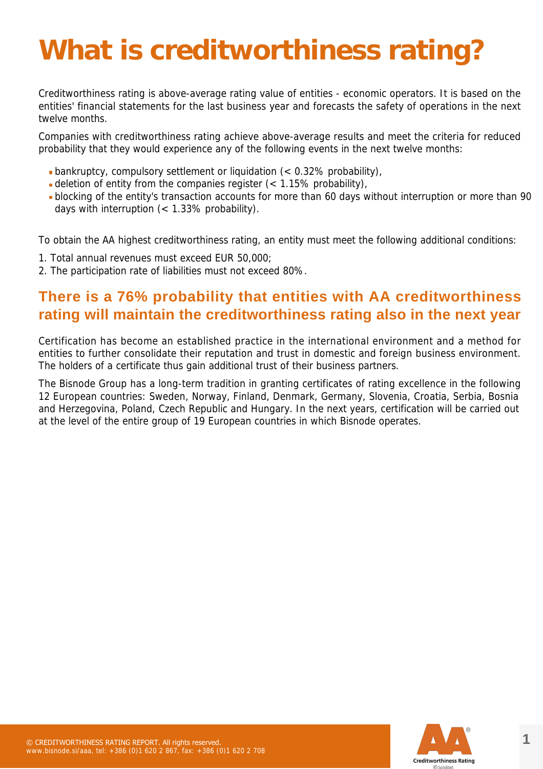### **What is creditworthiness rating?**

Creditworthiness rating is above-average rating value of entities - economic operators. It is based on the entities' financial statements for the last business year and forecasts the safety of operations in the next twelve months.

Companies with creditworthiness rating achieve above-average results and meet the criteria for reduced probability that they would experience any of the following events in the next twelve months:

- bankruptcy, compulsory settlement or liquidation (< 0.32% probability),
- deletion of entity from the companies register  $\left($  < 1.15% probability),
- blocking of the entity's transaction accounts for more than 60 days without interruption or more than 90 days with interruption (< 1.33% probability).

To obtain the AA highest creditworthiness rating, an entity must meet the following additional conditions:

- 1. Total annual revenues must exceed EUR 50,000;
- 2. The participation rate of liabilities must not exceed 80%.

#### **There is a 76% probability that entities with AA creditworthiness rating will maintain the creditworthiness rating also in the next year**

Certification has become an established practice in the international environment and a method for entities to further consolidate their reputation and trust in domestic and foreign business environment. The holders of a certificate thus gain additional trust of their business partners.

The Bisnode Group has a long-term tradition in granting certificates of rating excellence in the following 12 European countries: Sweden, Norway, Finland, Denmark, Germany, Slovenia, Croatia, Serbia, Bosnia and Herzegovina, Poland, Czech Republic and Hungary. In the next years, certification will be carried out at the level of the entire group of 19 European countries in which Bisnode operates.

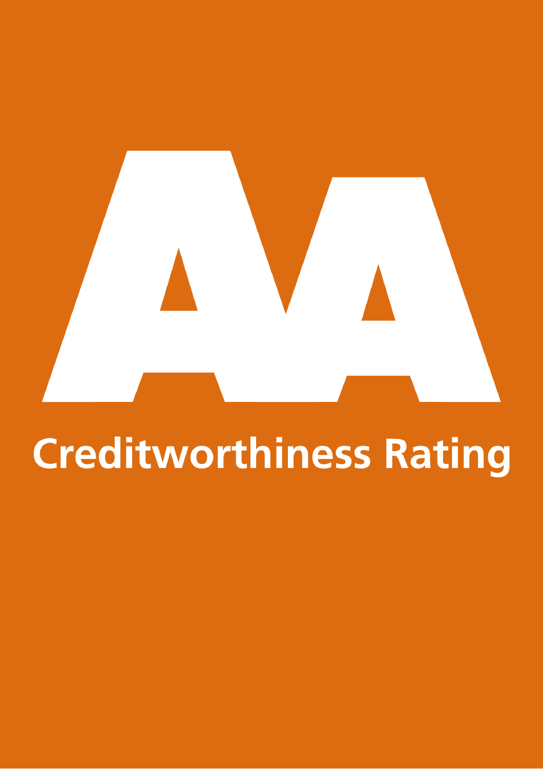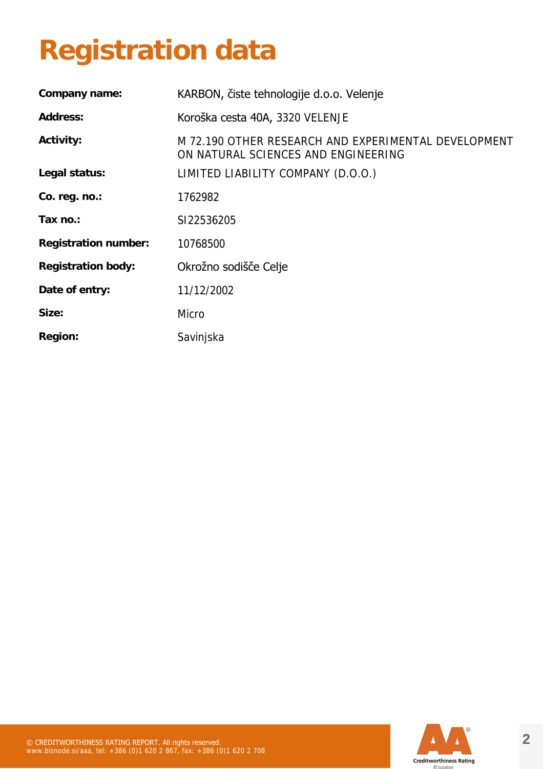### **Registration data**

| KARBON, čiste tehnologije d.o.o. Velenje                                                    |
|---------------------------------------------------------------------------------------------|
| Koroška cesta 40A, 3320 VELENJE                                                             |
| M 72.190 OTHER RESEARCH AND EXPERIMENTAL DEVELOPMENT<br>ON NATURAL SCIENCES AND ENGINEERING |
| LIMITED LIABILITY COMPANY (D.O.O.)                                                          |
| 1762982                                                                                     |
| SI22536205                                                                                  |
| 10768500                                                                                    |
| Okrožno sodišče Celje                                                                       |
| 11/12/2002                                                                                  |
| Micro                                                                                       |
| Savinjska                                                                                   |
|                                                                                             |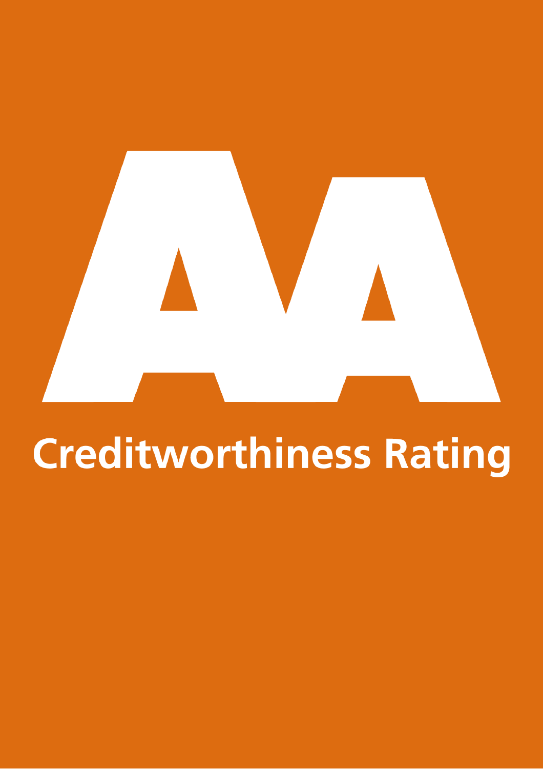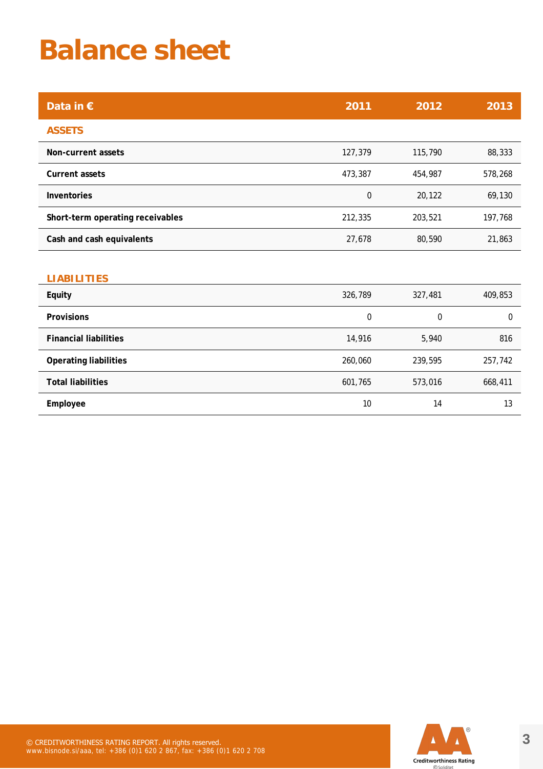### **Balance sheet**

| Data in $\epsilon$               | 2011             | 2012    | 2013        |
|----------------------------------|------------------|---------|-------------|
| <b>ASSETS</b>                    |                  |         |             |
| <b>Non-current assets</b>        | 127,379          | 115,790 | 88,333      |
| <b>Current assets</b>            | 473,387          | 454,987 | 578,268     |
| <b>Inventories</b>               | $\boldsymbol{0}$ | 20,122  | 69,130      |
| Short-term operating receivables | 212,335          | 203,521 | 197,768     |
| Cash and cash equivalents        | 27,678           | 80,590  | 21,863      |
|                                  |                  |         |             |
| <b>LIABILITIES</b>               |                  |         |             |
| <b>Equity</b>                    | 326,789          | 327,481 | 409,853     |
| <b>Provisions</b>                | 0                | 0       | $\mathbf 0$ |
| <b>Financial liabilities</b>     | 14,916           | 5,940   | 816         |
| <b>Operating liabilities</b>     | 260,060          | 239,595 | 257,742     |
| <b>Total liabilities</b>         | 601,765          | 573,016 | 668,411     |
| Employee                         | 10               | 14      | 13          |

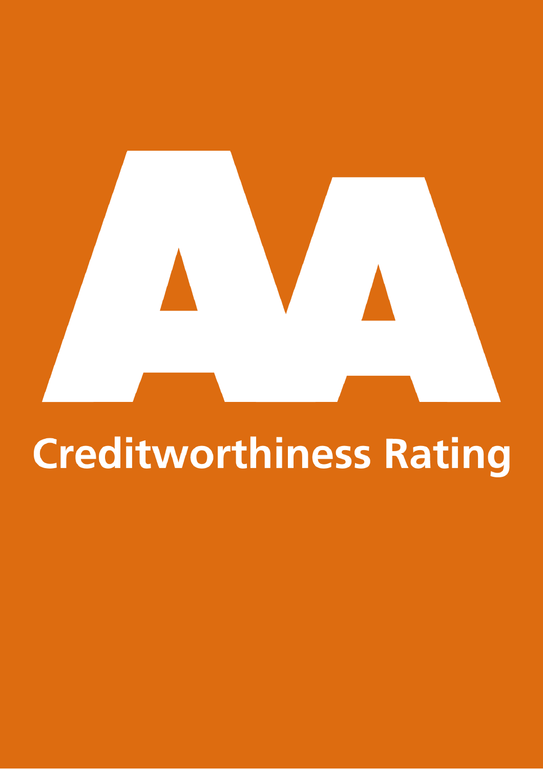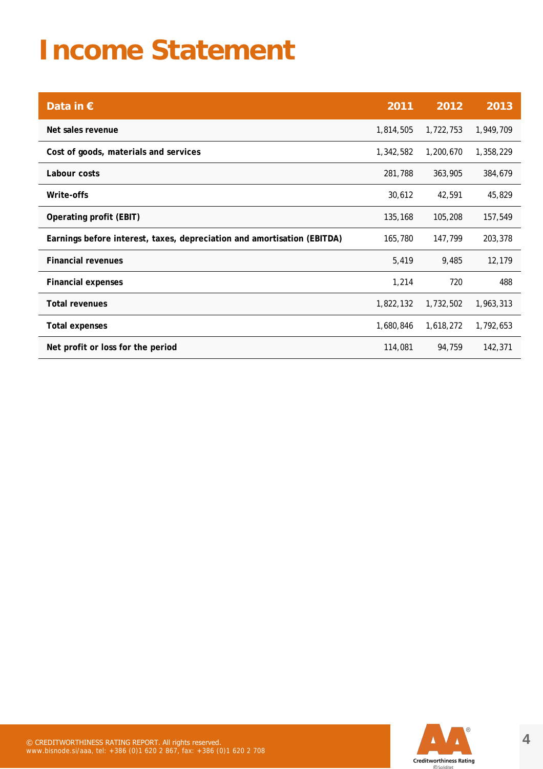### **Income Statement**

| Data in $\epsilon$                                                      | 2011      | 2012      | 2013      |
|-------------------------------------------------------------------------|-----------|-----------|-----------|
| Net sales revenue                                                       | 1,814,505 | 1,722,753 | 1,949,709 |
| Cost of goods, materials and services                                   | 1,342,582 | 1,200,670 | 1,358,229 |
| Labour costs                                                            | 281,788   | 363,905   | 384,679   |
| Write-offs                                                              | 30,612    | 42,591    | 45,829    |
| <b>Operating profit (EBIT)</b>                                          | 135,168   | 105,208   | 157,549   |
| Earnings before interest, taxes, depreciation and amortisation (EBITDA) | 165,780   | 147,799   | 203,378   |
| <b>Financial revenues</b>                                               | 5,419     | 9,485     | 12,179    |
| <b>Financial expenses</b>                                               | 1,214     | 720       | 488       |
| <b>Total revenues</b>                                                   | 1,822,132 | 1,732,502 | 1,963,313 |
| <b>Total expenses</b>                                                   | 1,680,846 | 1,618,272 | 1,792,653 |
| Net profit or loss for the period                                       | 114,081   | 94,759    | 142,371   |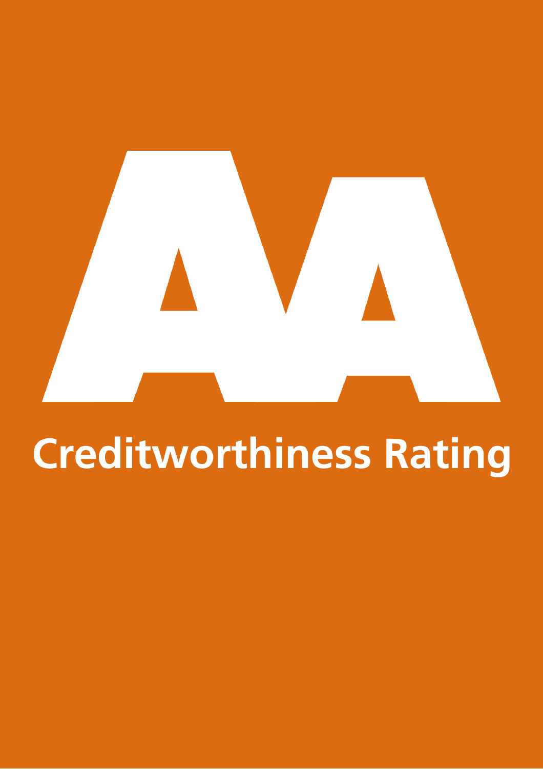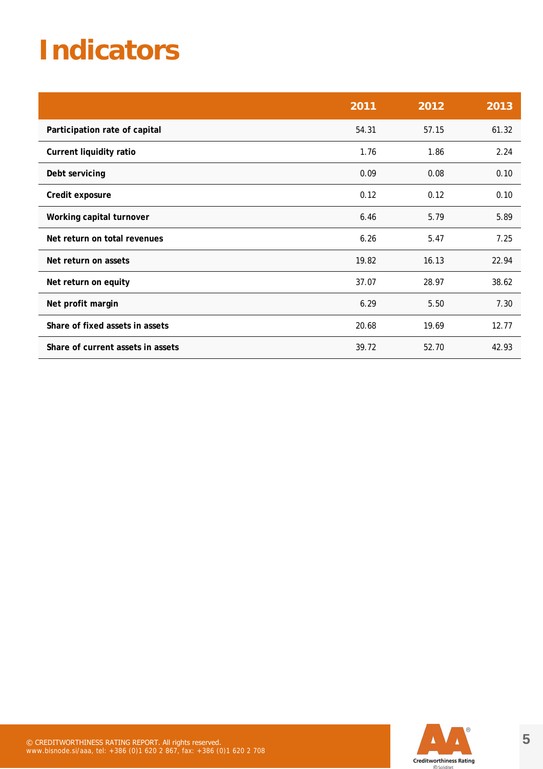### **Indicators**

|                                   | 2011  | 2012  | 2013  |
|-----------------------------------|-------|-------|-------|
| Participation rate of capital     | 54.31 | 57.15 | 61.32 |
| <b>Current liquidity ratio</b>    | 1.76  | 1.86  | 2.24  |
| Debt servicing                    | 0.09  | 0.08  | 0.10  |
| Credit exposure                   | 0.12  | 0.12  | 0.10  |
| Working capital turnover          | 6.46  | 5.79  | 5.89  |
| Net return on total revenues      | 6.26  | 5.47  | 7.25  |
| Net return on assets              | 19.82 | 16.13 | 22.94 |
| Net return on equity              | 37.07 | 28.97 | 38.62 |
| Net profit margin                 | 6.29  | 5.50  | 7.30  |
| Share of fixed assets in assets   | 20.68 | 19.69 | 12.77 |
| Share of current assets in assets | 39.72 | 52.70 | 42.93 |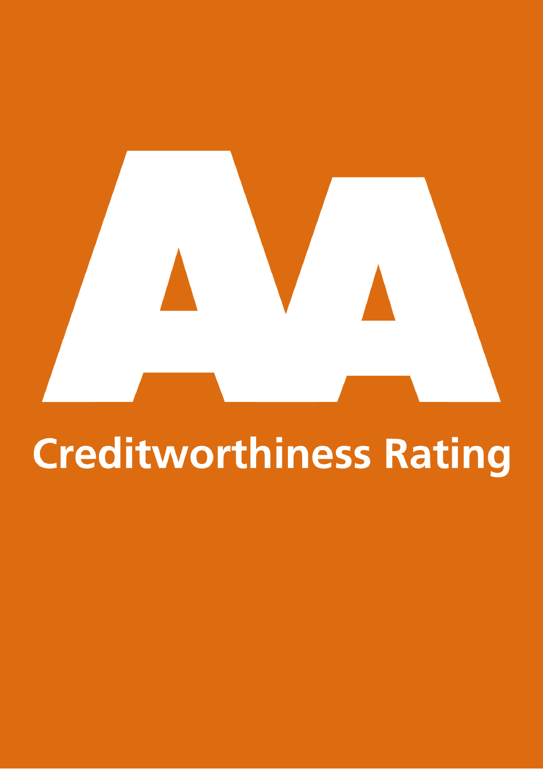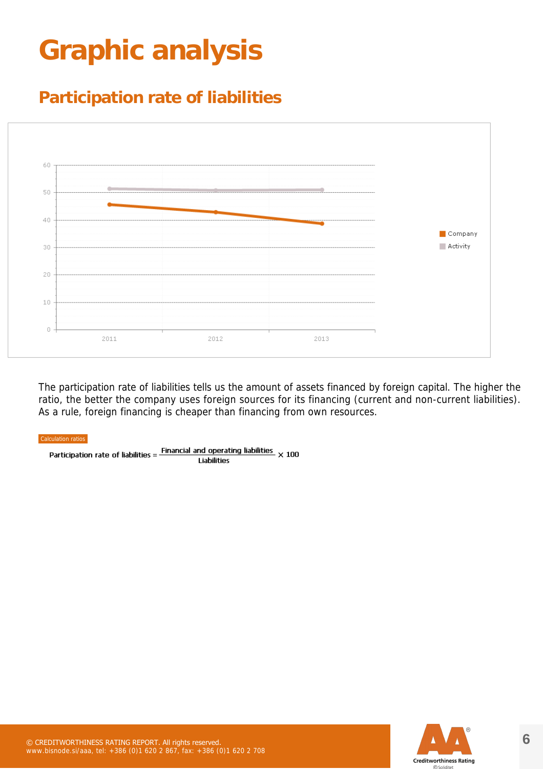### **Graphic analysis**

### **Participation rate of liabilities**



The participation rate of liabilities tells us the amount of assets financed by foreign capital. The higher the ratio, the better the company uses foreign sources for its financing (current and non-current liabilities). As a rule, foreign financing is cheaper than financing from own resources.

#### Calculation ratios

Participation rate of liabilities =  $\frac{Financial \text{ and operating liabilities}}{Lishilities} \times 100$ **Liabilities** 

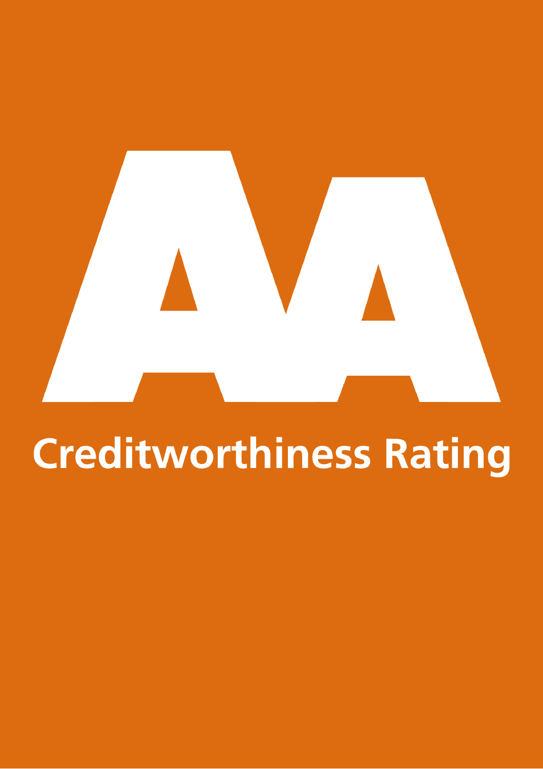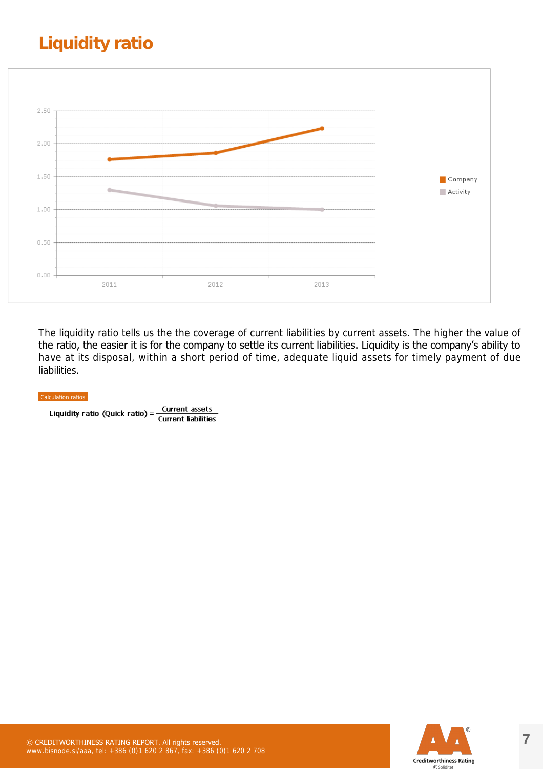### **Liquidity ratio**



The liquidity ratio tells us the the coverage of current liabilities by current assets. The higher the value of the ratio, the easier it is for the company to settle its current liabilities. Liquidity is the company's ability to have at its disposal, within a short period of time, adequate liquid assets for timely payment of due liabilities.

#### Calculation ratios

Current assets Liquidity ratio (Quick ratio) = **Current liabilities** 

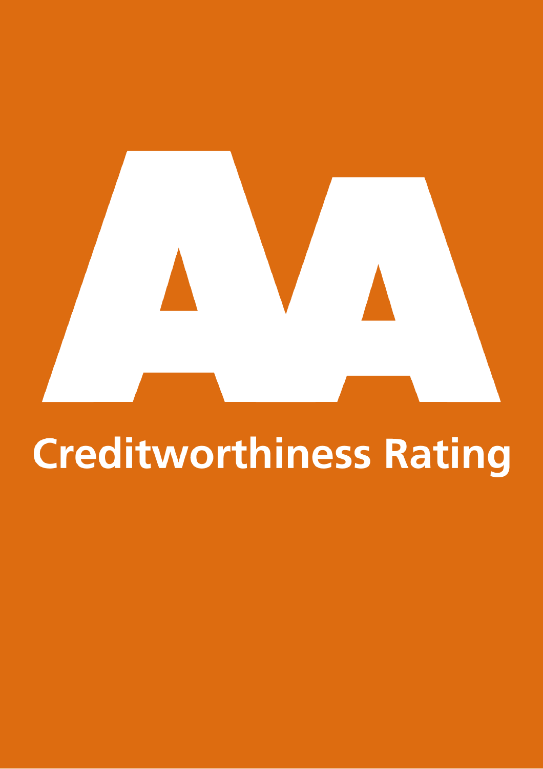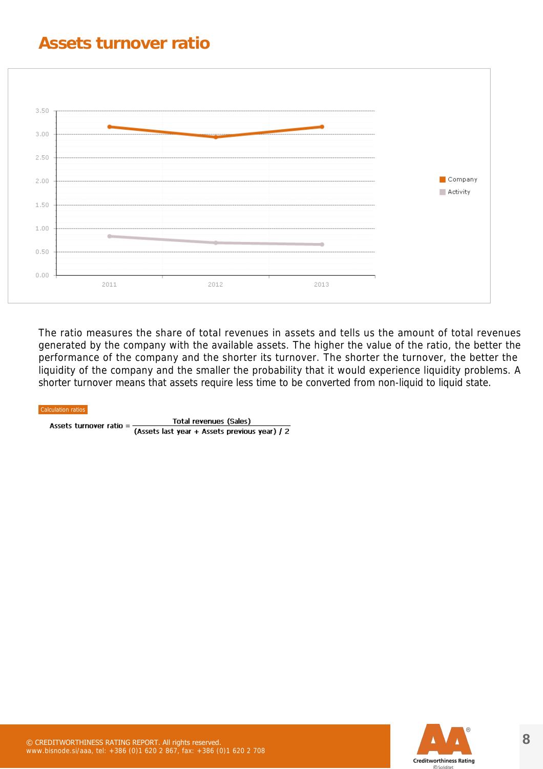#### **Assets turnover ratio**



The ratio measures the share of total revenues in assets and tells us the amount of total revenues generated by the company with the available assets. The higher the value of the ratio, the better the performance of the company and the shorter its turnover. The shorter the turnover, the better the liquidity of the company and the smaller the probability that it would experience liquidity problems. A shorter turnover means that assets require less time to be converted from non-liquid to liquid state.

Total revenues (Sales) Assets turnover ratio = (Assets last year + Assets previous year) / 2

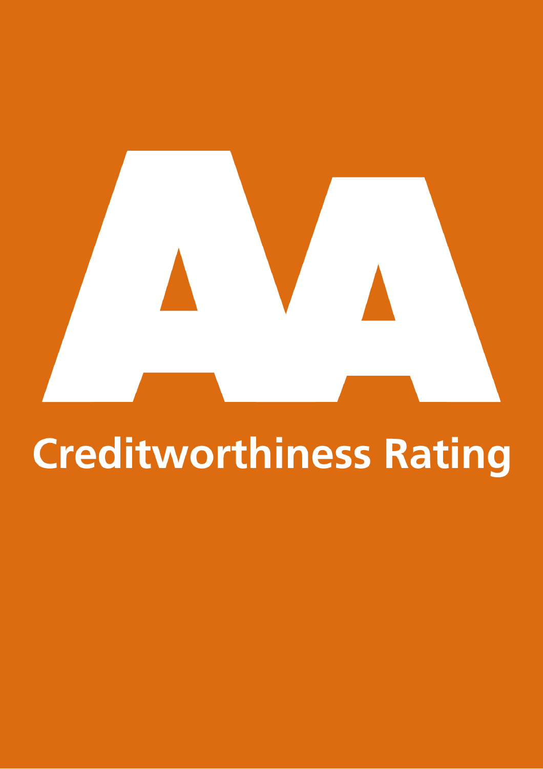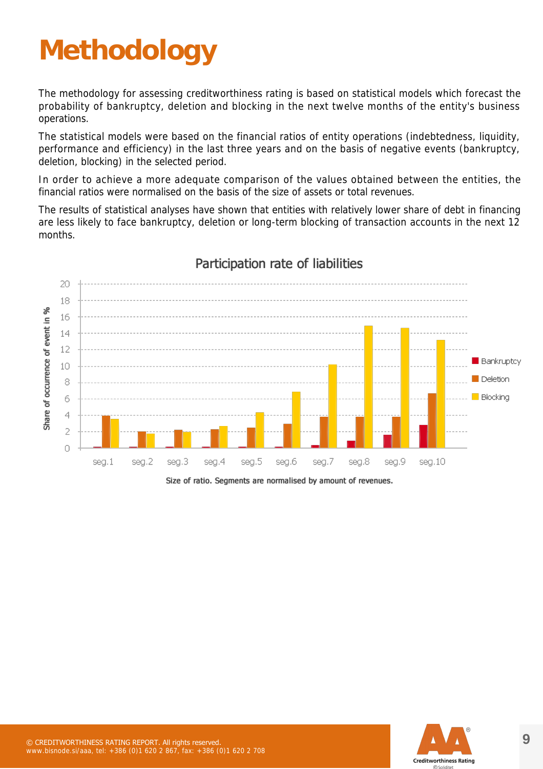### **Methodology**

The methodology for assessing creditworthiness rating is based on statistical models which forecast the probability of bankruptcy, deletion and blocking in the next twelve months of the entity's business operations.

The statistical models were based on the financial ratios of entity operations (indebtedness, liquidity, performance and efficiency) in the last three years and on the basis of negative events (bankruptcy, deletion, blocking) in the selected period.

In order to achieve a more adequate comparison of the values obtained between the entities, the financial ratios were normalised on the basis of the size of assets or total revenues.

The results of statistical analyses have shown that entities with relatively lower share of debt in financing are less likely to face bankruptcy, deletion or long-term blocking of transaction accounts in the next 12 months.



#### Participation rate of liabilities

Size of ratio. Segments are normalised by amount of revenues.

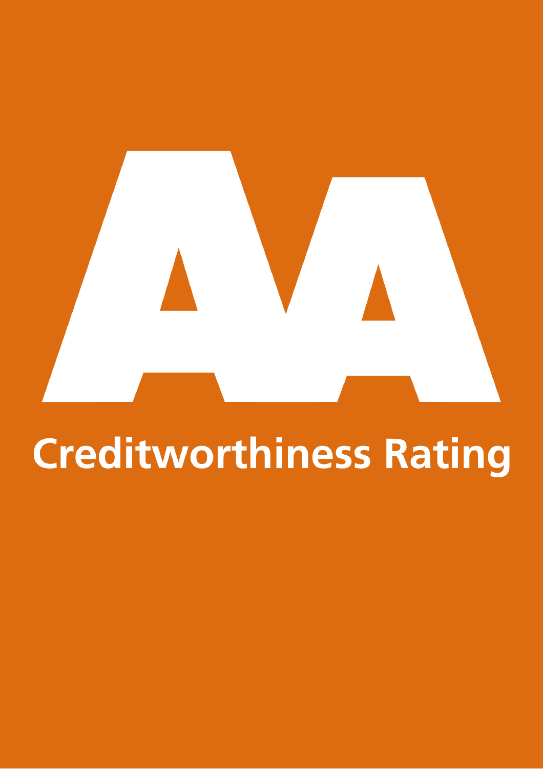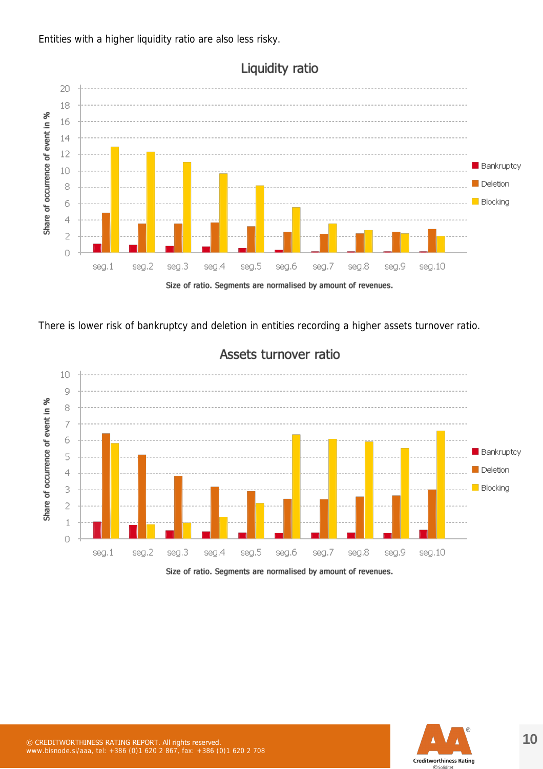Entities with a higher liquidity ratio are also less risky.



Liquidity ratio

There is lower risk of bankruptcy and deletion in entities recording a higher assets turnover ratio.



#### Assets turnover ratio

Size of ratio. Segments are normalised by amount of revenues.

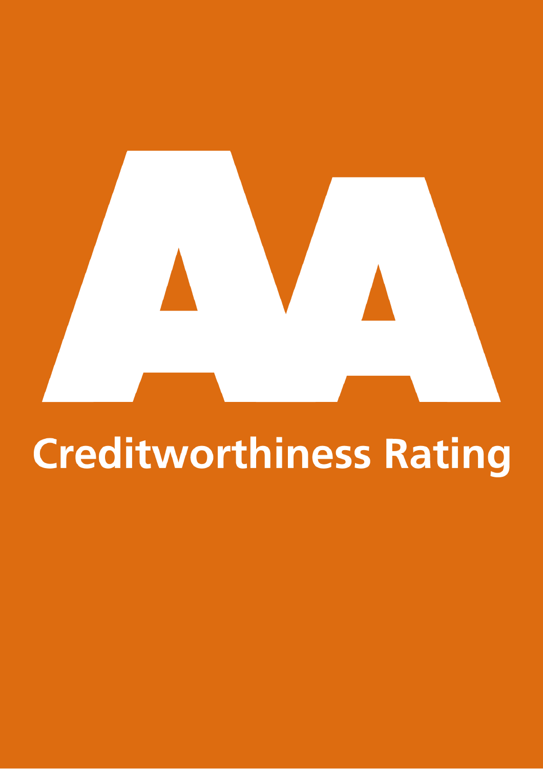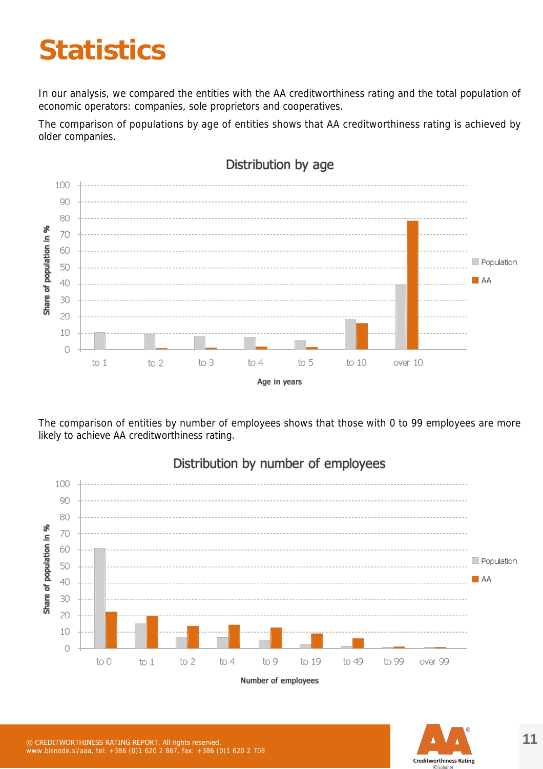### **Statistics**

In our analysis, we compared the entities with the AA creditworthiness rating and the total population of economic operators: companies, sole proprietors and cooperatives.

The comparison of populations by age of entities shows that AA creditworthiness rating is achieved by older companies.



The comparison of entities by number of employees shows that those with 0 to 99 employees are more likely to achieve AA creditworthiness rating.



#### Distribution by number of employees

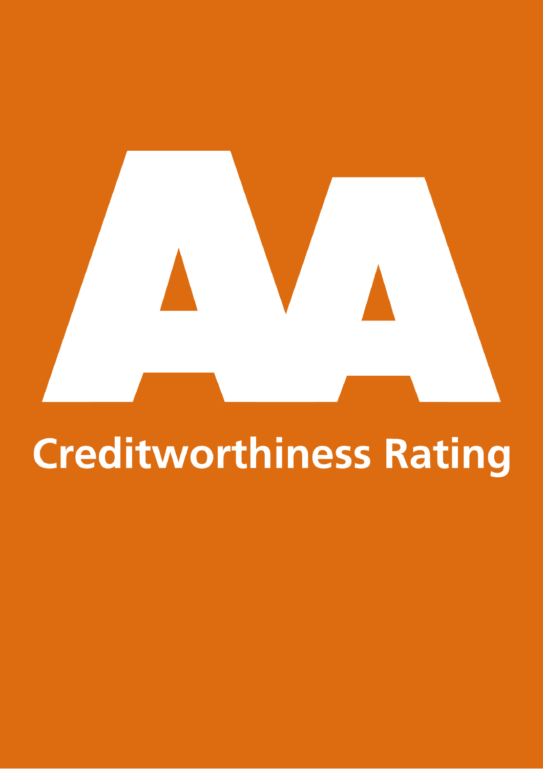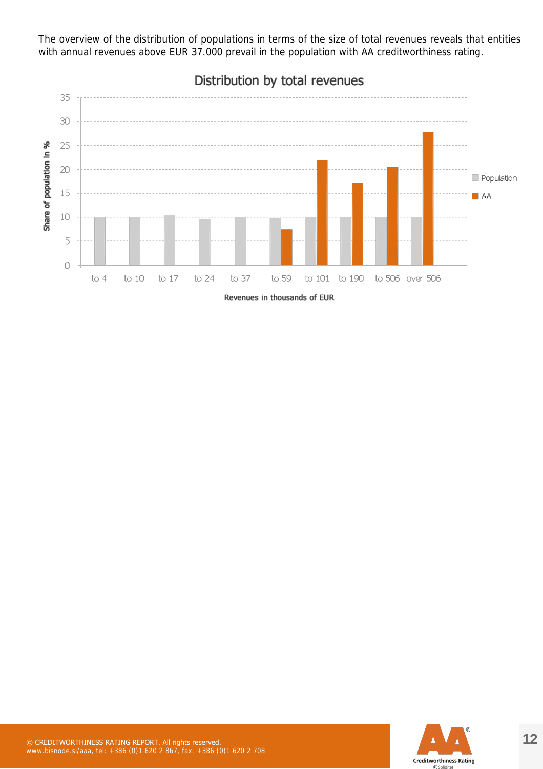The overview of the distribution of populations in terms of the size of total revenues reveals that entities with annual revenues above EUR 37.000 prevail in the population with AA creditworthiness rating.



Distribution by total revenues

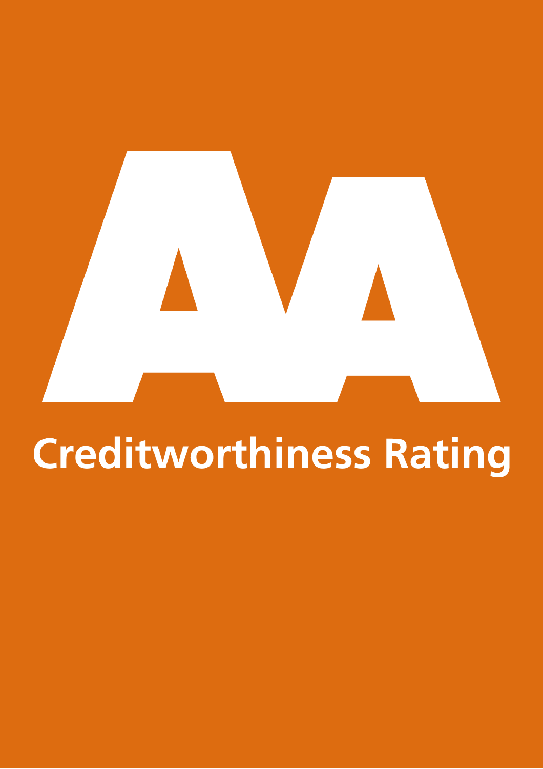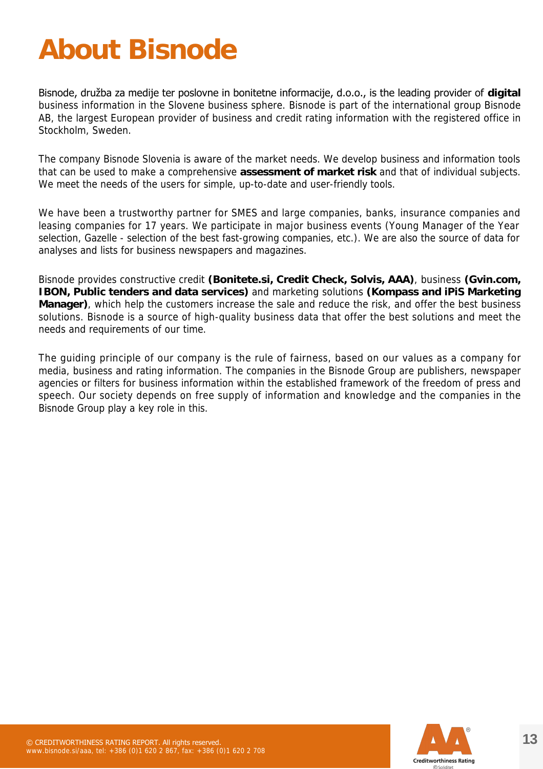### **About Bisnode**

Bisnode, družba za medije ter poslovne in bonitetne informacije, d.o.o., is the leading provider of **digital** business information in the Slovene business sphere. Bisnode is part of the international group Bisnode AB, the largest European provider of business and credit rating information with the registered office in Stockholm, Sweden.

The company Bisnode Slovenia is aware of the market needs. We develop business and information tools that can be used to make a comprehensive **assessment of market risk** and that of individual subjects. We meet the needs of the users for simple, up-to-date and user-friendly tools.

We have been a trustworthy partner for SMES and large companies, banks, insurance companies and leasing companies for 17 years. We participate in major business events (Young Manager of the Year selection, Gazelle - selection of the best fast-growing companies, etc.). We are also the source of data for analyses and lists for business newspapers and magazines.

Bisnode provides constructive credit **(Bonitete.si, Credit Check, Solvis, AAA)**, business **(Gvin.com, IBON, Public tenders and data services)** and marketing solutions **(Kompass and iPiS Marketing Manager)**, which help the customers increase the sale and reduce the risk, and offer the best business solutions. Bisnode is a source of high-quality business data that offer the best solutions and meet the needs and requirements of our time.

The guiding principle of our company is the rule of fairness, based on our values as a company for media, business and rating information. The companies in the Bisnode Group are publishers, newspaper agencies or filters for business information within the established framework of the freedom of press and speech. Our society depends on free supply of information and knowledge and the companies in the Bisnode Group play a key role in this.